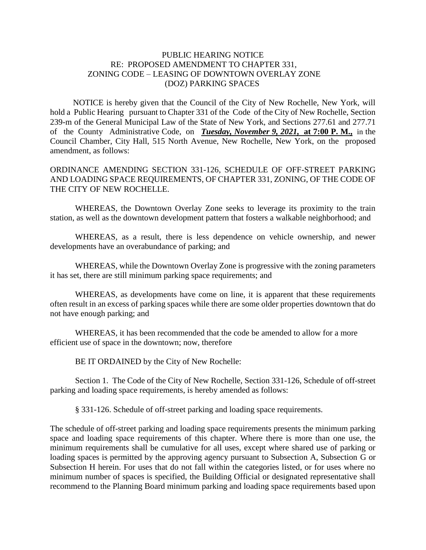## PUBLIC HEARING NOTICE RE: PROPOSED AMENDMENT TO CHAPTER 331, ZONING CODE – LEASING OF DOWNTOWN OVERLAY ZONE (DOZ) PARKING SPACES

 NOTICE is hereby given that the Council of the City of New Rochelle, New York, will hold a Public Hearing pursuant to Chapter 331 of the Code of the City of New Rochelle, Section 239-m of the General Municipal Law of the State of New York, and Sections 277.61 and 277.71 of the County Administrative Code, on *Tuesday, November 9, 2021,* **at 7:00 P. M.,** in the Council Chamber, City Hall, 515 North Avenue, New Rochelle, New York, on the proposed amendment, as follows:

ORDINANCE AMENDING SECTION 331-126, SCHEDULE OF OFF-STREET PARKING AND LOADING SPACE REQUIREMENTS, OF CHAPTER 331, ZONING, OF THE CODE OF THE CITY OF NEW ROCHELLE.

WHEREAS, the Downtown Overlay Zone seeks to leverage its proximity to the train station, as well as the downtown development pattern that fosters a walkable neighborhood; and

WHEREAS, as a result, there is less dependence on vehicle ownership, and newer developments have an overabundance of parking; and

WHEREAS, while the Downtown Overlay Zone is progressive with the zoning parameters it has set, there are still minimum parking space requirements; and

WHEREAS, as developments have come on line, it is apparent that these requirements often result in an excess of parking spaces while there are some older properties downtown that do not have enough parking; and

WHEREAS, it has been recommended that the code be amended to allow for a more efficient use of space in the downtown; now, therefore

BE IT ORDAINED by the City of New Rochelle:

Section 1. The Code of the City of New Rochelle, Section 331-126, Schedule of off-street parking and loading space requirements, is hereby amended as follows:

§ 331-126. Schedule of off-street parking and loading space requirements.

The schedule of off-street parking and loading space requirements presents the minimum parking space and loading space requirements of this chapter. Where there is more than one use, the minimum requirements shall be cumulative for all uses, except where shared use of parking or loading spaces is permitted by the approving agency pursuant to Subsection A, Subsection G or Subsection H herein. For uses that do not fall within the categories listed, or for uses where no minimum number of spaces is specified, the Building Official or designated representative shall recommend to the Planning Board minimum parking and loading space requirements based upon